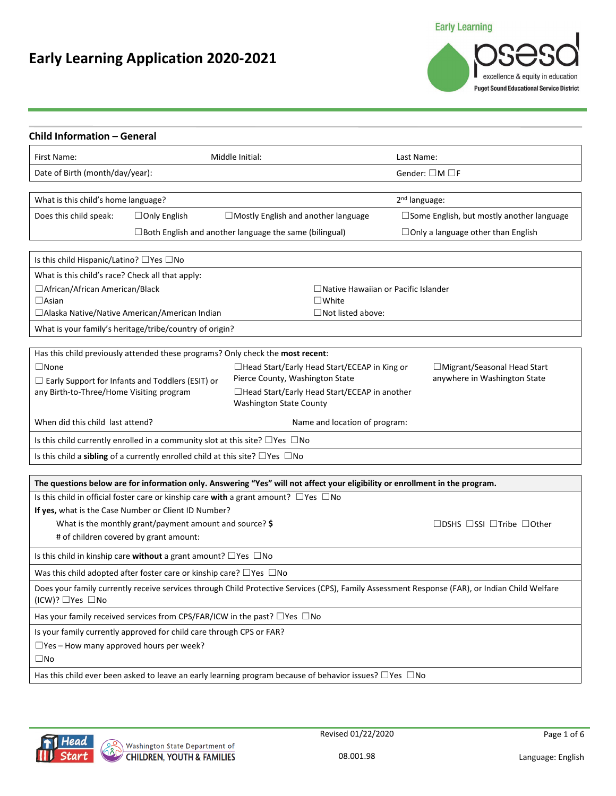## **Early Learning**

# **Early Learning Application 2020-2021**

| excellence & equity in education<br><b>Puget Sound Educational Service District</b> |
|-------------------------------------------------------------------------------------|
|                                                                                     |

| First Name:                                         |                                                                                          | Middle Initial:                                                                                                              | Last Name:                                                                                                                                     |
|-----------------------------------------------------|------------------------------------------------------------------------------------------|------------------------------------------------------------------------------------------------------------------------------|------------------------------------------------------------------------------------------------------------------------------------------------|
| Date of Birth (month/day/year):                     |                                                                                          |                                                                                                                              | Gender: $\square$ M $\square$ F                                                                                                                |
| What is this child's home language?                 |                                                                                          |                                                                                                                              | 2 <sup>nd</sup> language:                                                                                                                      |
| Does this child speak:                              | $\Box$ Only English                                                                      | $\Box$ Mostly English and another language                                                                                   | □ Some English, but mostly another language                                                                                                    |
|                                                     |                                                                                          | □ Both English and another language the same (bilingual)                                                                     | $\Box$ Only a language other than English                                                                                                      |
| Is this child Hispanic/Latino? $\Box$ Yes $\Box$ No |                                                                                          |                                                                                                                              |                                                                                                                                                |
| What is this child's race? Check all that apply:    |                                                                                          |                                                                                                                              |                                                                                                                                                |
| □ African/African American/Black                    |                                                                                          | $\Box$ Native Hawaiian or Pacific Islander                                                                                   |                                                                                                                                                |
| $\Box$ Asian                                        |                                                                                          | $\square$ White                                                                                                              |                                                                                                                                                |
|                                                     | □ Alaska Native/Native American/American Indian                                          | $\Box$ Not listed above:                                                                                                     |                                                                                                                                                |
|                                                     | What is your family's heritage/tribe/country of origin?                                  |                                                                                                                              |                                                                                                                                                |
|                                                     |                                                                                          | Has this child previously attended these programs? Only check the most recent:                                               |                                                                                                                                                |
| $\square$ None                                      |                                                                                          | □ Head Start/Early Head Start/ECEAP in King or                                                                               | □ Migrant/Seasonal Head Start                                                                                                                  |
|                                                     | $\Box$ Early Support for Infants and Toddlers (ESIT) or                                  | Pierce County, Washington State                                                                                              | anywhere in Washington State                                                                                                                   |
| any Birth-to-Three/Home Visiting program            |                                                                                          | □Head Start/Early Head Start/ECEAP in another<br><b>Washington State County</b>                                              |                                                                                                                                                |
| When did this child last attend?                    |                                                                                          | Name and location of program:                                                                                                |                                                                                                                                                |
|                                                     | Is this child currently enrolled in a community slot at this site? $\Box$ Yes $\Box$ No  |                                                                                                                              |                                                                                                                                                |
|                                                     | Is this child a sibling of a currently enrolled child at this site? $\Box$ Yes $\Box$ No |                                                                                                                              |                                                                                                                                                |
|                                                     |                                                                                          | The questions below are for information only. Answering "Yes" will not affect your eligibility or enrollment in the program. |                                                                                                                                                |
|                                                     |                                                                                          | Is this child in official foster care or kinship care with a grant amount? $\Box$ Yes $\Box$ No                              |                                                                                                                                                |
|                                                     | If yes, what is the Case Number or Client ID Number?                                     |                                                                                                                              |                                                                                                                                                |
|                                                     | What is the monthly grant/payment amount and source? \$                                  |                                                                                                                              | $\Box$ DSHS $\Box$ SSI $\Box$ Tribe $\Box$ Other                                                                                               |
|                                                     | # of children covered by grant amount:                                                   |                                                                                                                              |                                                                                                                                                |
|                                                     | Is this child in kinship care without a grant amount? $\Box$ Yes $\Box$ No               |                                                                                                                              |                                                                                                                                                |
|                                                     | Was this child adopted after foster care or kinship care? $\Box$ Yes $\Box$ No           |                                                                                                                              |                                                                                                                                                |
| $(ICW)$ ? $\Box$ Yes $\Box$ No                      |                                                                                          |                                                                                                                              | Does your family currently receive services through Child Protective Services (CPS), Family Assessment Response (FAR), or Indian Child Welfare |
|                                                     |                                                                                          | Has your family received services from CPS/FAR/ICW in the past? $\Box$ Yes $\Box$ No                                         |                                                                                                                                                |
|                                                     | Is your family currently approved for child care through CPS or FAR?                     |                                                                                                                              |                                                                                                                                                |
|                                                     |                                                                                          |                                                                                                                              |                                                                                                                                                |
| $\Box$ Yes - How many approved hours per week?      |                                                                                          |                                                                                                                              |                                                                                                                                                |
| $\square$ No                                        |                                                                                          |                                                                                                                              |                                                                                                                                                |



Revised 01/22/2020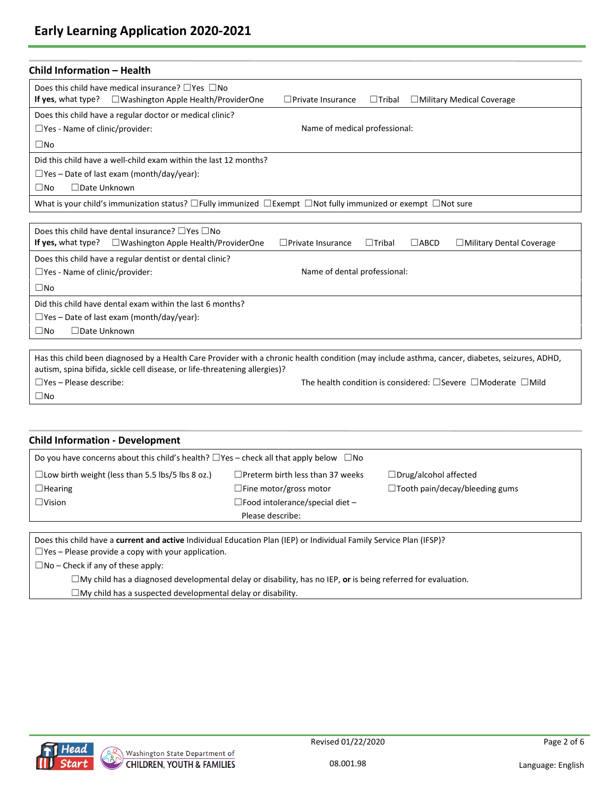| <b>Child Information - Health</b>     |                                                                                                                                                                                                                              |                               |               |             |                                                                               |
|---------------------------------------|------------------------------------------------------------------------------------------------------------------------------------------------------------------------------------------------------------------------------|-------------------------------|---------------|-------------|-------------------------------------------------------------------------------|
|                                       | Does this child have medical insurance? $\Box$ Yes $\Box$ No                                                                                                                                                                 |                               |               |             |                                                                               |
|                                       | If yes, what type? $\square$ Washington Apple Health/ProviderOne                                                                                                                                                             | $\Box$ Private Insurance      | $\Box$ Tribal |             | $\Box$ Military Medical Coverage                                              |
|                                       | Does this child have a regular doctor or medical clinic?                                                                                                                                                                     |                               |               |             |                                                                               |
| $\Box$ Yes - Name of clinic/provider: |                                                                                                                                                                                                                              | Name of medical professional: |               |             |                                                                               |
| $\square$ No                          |                                                                                                                                                                                                                              |                               |               |             |                                                                               |
|                                       | Did this child have a well-child exam within the last 12 months?                                                                                                                                                             |                               |               |             |                                                                               |
|                                       | $\Box$ Yes – Date of last exam (month/day/year):                                                                                                                                                                             |                               |               |             |                                                                               |
| □ Date Unknown<br>$\square$ No        |                                                                                                                                                                                                                              |                               |               |             |                                                                               |
|                                       | What is your child's immunization status? $\Box$ Fully immunized $\Box$ Exempt $\Box$ Not fully immunized or exempt $\Box$ Not sure                                                                                          |                               |               |             |                                                                               |
|                                       |                                                                                                                                                                                                                              |                               |               |             |                                                                               |
|                                       | Does this child have dental insurance? $\Box$ Yes $\Box$ No                                                                                                                                                                  |                               |               |             |                                                                               |
| If yes, what type?                    | $\Box$ Washington Apple Health/ProviderOne                                                                                                                                                                                   | $\Box$ Private Insurance      | $\Box$ Tribal | $\Box$ ABCD | $\Box$ Military Dental Coverage                                               |
|                                       | Does this child have a regular dentist or dental clinic?                                                                                                                                                                     |                               |               |             |                                                                               |
| $\Box$ Yes - Name of clinic/provider: |                                                                                                                                                                                                                              | Name of dental professional:  |               |             |                                                                               |
| $\square$ No                          |                                                                                                                                                                                                                              |                               |               |             |                                                                               |
|                                       | Did this child have dental exam within the last 6 months?                                                                                                                                                                    |                               |               |             |                                                                               |
|                                       | $\Box$ Yes – Date of last exam (month/day/year):                                                                                                                                                                             |                               |               |             |                                                                               |
| $\square$ No<br>$\Box$ Date Unknown   |                                                                                                                                                                                                                              |                               |               |             |                                                                               |
|                                       |                                                                                                                                                                                                                              |                               |               |             |                                                                               |
|                                       | Has this child been diagnosed by a Health Care Provider with a chronic health condition (may include asthma, cancer, diabetes, seizures, ADHD,<br>autism, spina bifida, sickle cell disease, or life-threatening allergies)? |                               |               |             |                                                                               |
| $\Box$ Yes – Please describe:         |                                                                                                                                                                                                                              |                               |               |             | The health condition is considered: $\Box$ Severe $\Box$ Moderate $\Box$ Mild |
| $\square$ No                          |                                                                                                                                                                                                                              |                               |               |             |                                                                               |
|                                       |                                                                                                                                                                                                                              |                               |               |             |                                                                               |

| <b>Child Information - Development</b>                                                                                                                                                                                       |                                          |                                       |
|------------------------------------------------------------------------------------------------------------------------------------------------------------------------------------------------------------------------------|------------------------------------------|---------------------------------------|
| Do you have concerns about this child's health? $\Box$ Yes – check all that apply below $\Box$ No                                                                                                                            |                                          |                                       |
| $\Box$ Low birth weight (less than 5.5 lbs/5 lbs 8 oz.)                                                                                                                                                                      | $\Box$ Preterm birth less than 37 weeks  | $\Box$ Drug/alcohol affected          |
| $\Box$ Hearing                                                                                                                                                                                                               | $\Box$ Fine motor/gross motor            | $\Box$ Tooth pain/decay/bleeding gums |
| $\Box$ Vision                                                                                                                                                                                                                | $\Box$ Food intolerance/special diet $-$ |                                       |
|                                                                                                                                                                                                                              | Please describe:                         |                                       |
| Does this child have a current and active Individual Education Plan (IEP) or Individual Family Service Plan (IFSP)?<br>$\Box$ Yes – Please provide a copy with your application.<br>$\Box$ No – Check if any of these apply: |                                          |                                       |
|                                                                                                                                                                                                                              |                                          |                                       |

☐My child has a diagnosed developmental delay or disability, has no IEP, **or** is being referred for evaluation.  $\square$ My child has a suspected developmental delay or disability.

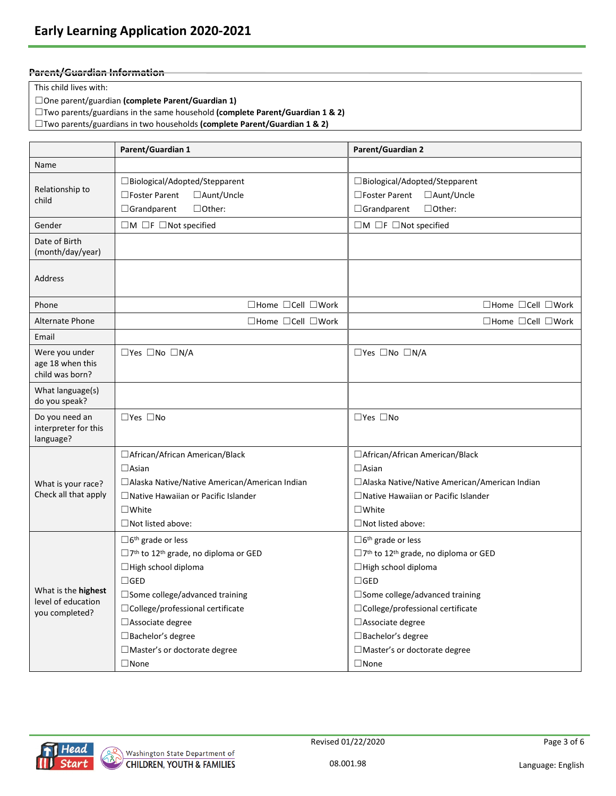### **Parent/Guardian Information**

This child lives with:

☐One parent/guardian **(complete Parent/Guardian 1)**

☐Two parents/guardians in the same household **(complete Parent/Guardian 1 & 2)**

☐Two parents/guardians in two households **(complete Parent/Guardian 1 & 2)**

|                                                       | Parent/Guardian 1                                                   | Parent/Guardian 2                                             |
|-------------------------------------------------------|---------------------------------------------------------------------|---------------------------------------------------------------|
| Name                                                  |                                                                     |                                                               |
|                                                       | □Biological/Adopted/Stepparent                                      | □Biological/Adopted/Stepparent                                |
| Relationship to                                       | $\Box$ Foster Parent<br>□ Aunt/Uncle                                | $\square$ Foster Parent<br>□ Aunt/Uncle                       |
| child                                                 | $\Box$ Other:<br>$\Box$ Grandparent                                 | $\Box$ Other:<br>$\Box$ Grandparent                           |
| Gender                                                | $\Box$ M $\Box$ F $\Box$ Not specified                              | $\Box$ M $\Box$ F $\Box$ Not specified                        |
| Date of Birth<br>(month/day/year)                     |                                                                     |                                                               |
| Address                                               |                                                                     |                                                               |
| Phone                                                 | $\Box$ Home $\Box$ Cell $\Box$ Work                                 | $\Box$ Home $\Box$ Cell $\Box$ Work                           |
| Alternate Phone                                       | $\Box$ Home $\Box$ Cell $\Box$ Work                                 | $\Box$ Home $\Box$ Cell $\Box$ Work                           |
| Email                                                 |                                                                     |                                                               |
| Were you under<br>age 18 when this<br>child was born? | □Yes □No □N/A                                                       | $\square$ Yes $\square$ No $\square$ N/A                      |
| What language(s)<br>do you speak?                     |                                                                     |                                                               |
| Do you need an<br>interpreter for this<br>language?   | $\square$ Yes $\square$ No                                          | $\square$ Yes $\square$ No                                    |
|                                                       | □ African/African American/Black                                    | □ African/African American/Black                              |
|                                                       | $\Box$ Asian                                                        | $\Box$ Asian                                                  |
| What is your race?                                    | □ Alaska Native/Native American/American Indian                     | □ Alaska Native/Native American/American Indian               |
| Check all that apply                                  | $\Box$ Native Hawaiian or Pacific Islander                          | $\Box$ Native Hawaiian or Pacific Islander                    |
|                                                       | $\square$ White                                                     | $\square$ White                                               |
|                                                       | $\Box$ Not listed above:                                            | $\Box$ Not listed above:                                      |
|                                                       | $\Box$ 6 <sup>th</sup> grade or less                                | $\Box$ 6 <sup>th</sup> grade or less                          |
|                                                       | $\Box$ 7 <sup>th</sup> to 12 <sup>th</sup> grade, no diploma or GED | □7 <sup>th</sup> to 12 <sup>th</sup> grade, no diploma or GED |
|                                                       | □ High school diploma                                               | □ High school diploma                                         |
|                                                       | $\square$ GED                                                       | $\Box$ GED                                                    |
| What is the highest<br>level of education             | $\Box$ Some college/advanced training                               | □ Some college/advanced training                              |
| you completed?                                        | □ College/professional certificate                                  | □ College/professional certificate                            |
|                                                       | □ Associate degree                                                  | □ Associate degree                                            |
|                                                       | □ Bachelor's degree                                                 | □ Bachelor's degree                                           |
|                                                       | □ Master's or doctorate degree                                      | □Master's or doctorate degree                                 |
|                                                       | $\Box$ None                                                         | $\Box$ None                                                   |

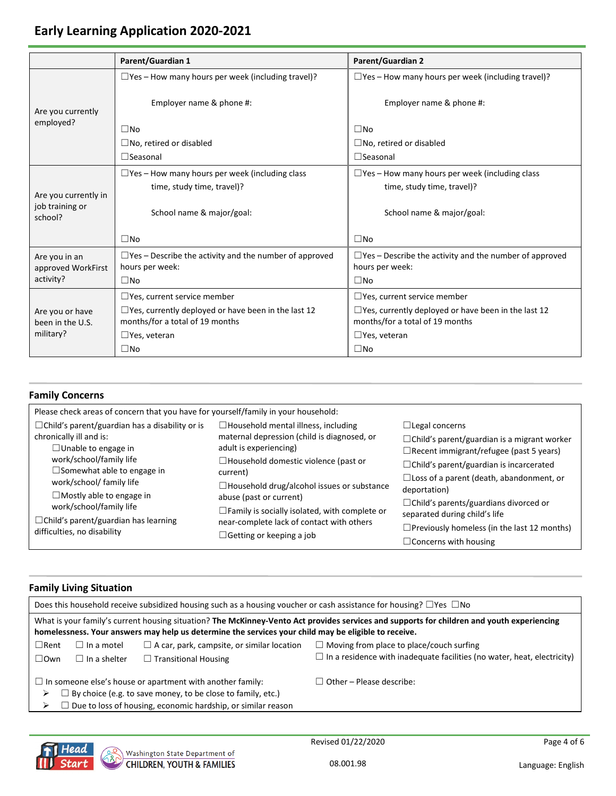# **Early Learning Application 2020-2021**

|                                     | <b>Parent/Guardian 1</b>                                                                      | <b>Parent/Guardian 2</b>                                                                      |
|-------------------------------------|-----------------------------------------------------------------------------------------------|-----------------------------------------------------------------------------------------------|
| Are you currently                   | $\Box$ Yes – How many hours per week (including travel)?                                      | $\Box$ Yes – How many hours per week (including travel)?                                      |
|                                     | Employer name & phone #:                                                                      | Employer name & phone #:                                                                      |
| employed?                           | $\Box$ No                                                                                     | $\Box$ No                                                                                     |
|                                     | $\Box$ No, retired or disabled                                                                | $\square$ No, retired or disabled                                                             |
|                                     | $\Box$ Seasonal                                                                               | $\Box$ Seasonal                                                                               |
| Are you currently in                | $\Box$ Yes - How many hours per week (including class<br>time, study time, travel)?           | $\Box$ Yes - How many hours per week (including class<br>time, study time, travel)?           |
| job training or<br>school?          | School name & major/goal:                                                                     | School name & major/goal:                                                                     |
|                                     | $\square$ No                                                                                  | $\square$ No                                                                                  |
| Are you in an<br>approved WorkFirst | $\Box$ Yes – Describe the activity and the number of approved<br>hours per week:              | $\Box$ Yes – Describe the activity and the number of approved<br>hours per week:              |
| activity?                           | $\square$ No                                                                                  | $\square$ No                                                                                  |
|                                     | $\Box$ Yes, current service member                                                            | $\Box$ Yes, current service member                                                            |
| Are you or have<br>been in the U.S. | $\Box$ Yes, currently deployed or have been in the last 12<br>months/for a total of 19 months | $\Box$ Yes, currently deployed or have been in the last 12<br>months/for a total of 19 months |
| military?                           | $\Box$ Yes, veteran                                                                           | $\Box$ Yes, veteran                                                                           |
|                                     | $\square$ No                                                                                  | $\square$ No                                                                                  |

## **Family Concerns**

| Please check areas of concern that you have for yourself/family in your household:                             |                                                                                                                     |                                                                                                                               |  |  |  |  |
|----------------------------------------------------------------------------------------------------------------|---------------------------------------------------------------------------------------------------------------------|-------------------------------------------------------------------------------------------------------------------------------|--|--|--|--|
| $\Box$ Child's parent/guardian has a disability or is<br>chronically ill and is:<br>$\Box$ Unable to engage in | $\Box$ Household mental illness, including<br>maternal depression (child is diagnosed, or<br>adult is experiencing) | $\Box$ Legal concerns<br>$\Box$ Child's parent/guardian is a migrant worker<br>$\Box$ Recent immigrant/refugee (past 5 years) |  |  |  |  |
| work/school/family life<br>$\Box$ Somewhat able to engage in<br>work/school/ family life                       | $\Box$ Household domestic violence (past or<br>current)<br>$\Box$ Household drug/alcohol issues or substance        | $\Box$ Child's parent/guardian is incarcerated<br>$\Box$ Loss of a parent (death, abandonment, or                             |  |  |  |  |
| $\Box$ Mostly able to engage in<br>work/school/family life<br>$\Box$ Child's parent/guardian has learning      | abuse (past or current)<br>$\Box$ Family is socially isolated, with complete or                                     | deportation)<br>$\Box$ Child's parents/guardians divorced or<br>separated during child's life                                 |  |  |  |  |
| difficulties, no disability<br>$\Box$ Getting or keeping a job                                                 | near-complete lack of contact with others                                                                           | $\Box$ Previously homeless (in the last 12 months)<br>$\Box$ Concerns with housing                                            |  |  |  |  |

#### **Family Living Situation**

| Does this household receive subsidized housing such as a housing voucher or cash assistance for housing? $\Box$ Yes $\Box$ No                                                                                                                      |                                                                                                                                                                                                 |                                                                                |  |  |
|----------------------------------------------------------------------------------------------------------------------------------------------------------------------------------------------------------------------------------------------------|-------------------------------------------------------------------------------------------------------------------------------------------------------------------------------------------------|--------------------------------------------------------------------------------|--|--|
| What is your family's current housing situation? The McKinney-Vento Act provides services and supports for children and youth experiencing<br>homelessness. Your answers may help us determine the services your child may be eligible to receive. |                                                                                                                                                                                                 |                                                                                |  |  |
| $\Box$ Rent<br>$\Box$ In a motel                                                                                                                                                                                                                   | $\Box$ A car, park, campsite, or similar location                                                                                                                                               | $\Box$ Moving from place to place/couch surfing                                |  |  |
| $\square$ Own<br>$\Box$ In a shelter                                                                                                                                                                                                               | $\Box$ Transitional Housing                                                                                                                                                                     | $\Box$ In a residence with inadequate facilities (no water, heat, electricity) |  |  |
| ⋗                                                                                                                                                                                                                                                  | $\Box$ In someone else's house or apartment with another family:<br>By choice (e.g. to save money, to be close to family, etc.)<br>Due to loss of housing, economic hardship, or similar reason | $\Box$ Other – Please describe:                                                |  |  |

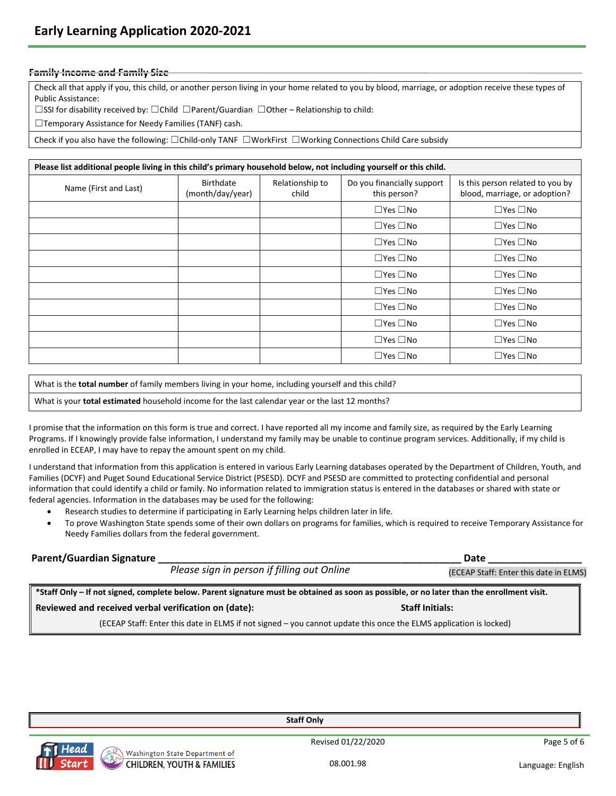#### **Family Income and Family Size**

Check all that apply if you, this child, or another person living in your home related to you by blood, marriage, or adoption receive these types of Public Assistance:

☐SSI for disability received by: ☐Child ☐Parent/Guardian ☐Other – Relationship to child:

☐Temporary Assistance for Needy Families (TANF) cash.

Check if you also have the following: ☐Child-only TANF ☐WorkFirst ☐Working Connections Child Care subsidy

| Please list additional people living in this child's primary household below, not including yourself or this child. |                                      |                          |                                            |                                                                   |  |
|---------------------------------------------------------------------------------------------------------------------|--------------------------------------|--------------------------|--------------------------------------------|-------------------------------------------------------------------|--|
| Name (First and Last)                                                                                               | <b>Birthdate</b><br>(month/day/year) | Relationship to<br>child | Do you financially support<br>this person? | Is this person related to you by<br>blood, marriage, or adoption? |  |
|                                                                                                                     |                                      |                          | $\Box$ Yes $\Box$ No                       | $\Box$ Yes $\Box$ No                                              |  |
|                                                                                                                     |                                      |                          | $\Box$ Yes $\Box$ No                       | $\Box$ Yes $\Box$ No                                              |  |
|                                                                                                                     |                                      |                          | $\Box$ Yes $\Box$ No                       | $\Box$ Yes $\Box$ No                                              |  |
|                                                                                                                     |                                      |                          | $\Box$ Yes $\Box$ No                       | $\Box$ Yes $\Box$ No                                              |  |
|                                                                                                                     |                                      |                          | $\Box$ Yes $\Box$ No                       | $\Box$ Yes $\Box$ No                                              |  |
|                                                                                                                     |                                      |                          | $\Box$ Yes $\Box$ No                       | $\Box$ Yes $\Box$ No                                              |  |
|                                                                                                                     |                                      |                          | $\Box$ Yes $\Box$ No                       | $\Box$ Yes $\Box$ No                                              |  |
|                                                                                                                     |                                      |                          | $\Box$ Yes $\Box$ No                       | $\Box$ Yes $\Box$ No                                              |  |
|                                                                                                                     |                                      |                          | $\Box$ Yes $\Box$ No                       | $\Box$ Yes $\Box$ No                                              |  |
|                                                                                                                     |                                      |                          | $\Box$ Yes $\Box$ No                       | $\Box$ Yes $\Box$ No                                              |  |

What is the **total number** of family members living in your home, including yourself and this child?

What is your **total estimated** household income for the last calendar year or the last 12 months?

I promise that the information on this form is true and correct. I have reported all my income and family size, as required by the Early Learning Programs. If I knowingly provide false information, I understand my family may be unable to continue program services. Additionally, if my child is enrolled in ECEAP, I may have to repay the amount spent on my child.

I understand that information from this application is entered in various Early Learning databases operated by the Department of Children, Youth, and Families (DCYF) and Puget Sound Educational Service District (PSESD). DCYF and PSESD are committed to protecting confidential and personal information that could identify a child or family. No information related to immigration status is entered in the databases or shared with state or federal agencies. Information in the databases may be used for the following:

- Research studies to determine if participating in Early Learning helps children later in life.
- To prove Washington State spends some of their own dollars on programs for families, which is required to receive Temporary Assistance for Needy Families dollars from the federal government.

| Parent/Guardian Signature                            |                                             |                                                                                                                   | Date                                                                                                                                       |
|------------------------------------------------------|---------------------------------------------|-------------------------------------------------------------------------------------------------------------------|--------------------------------------------------------------------------------------------------------------------------------------------|
|                                                      | Please sign in person if filling out Online |                                                                                                                   | (ECEAP Staff: Enter this date in ELMS)                                                                                                     |
|                                                      |                                             |                                                                                                                   | *Staff Only – If not signed, complete below. Parent signature must be obtained as soon as possible, or no later than the enrollment visit. |
| Reviewed and received verbal verification on (date): |                                             |                                                                                                                   | <b>Staff Initials:</b>                                                                                                                     |
|                                                      |                                             | (ECEAD Ctaff: Enter this data in FLAAC if not signed way connot undate this ones the FLAAC onalisation is leaked) |                                                                                                                                            |

this date in ELMS if not signed – you cannot update this once the ELMS application is locked)



Revised 01/22/2020